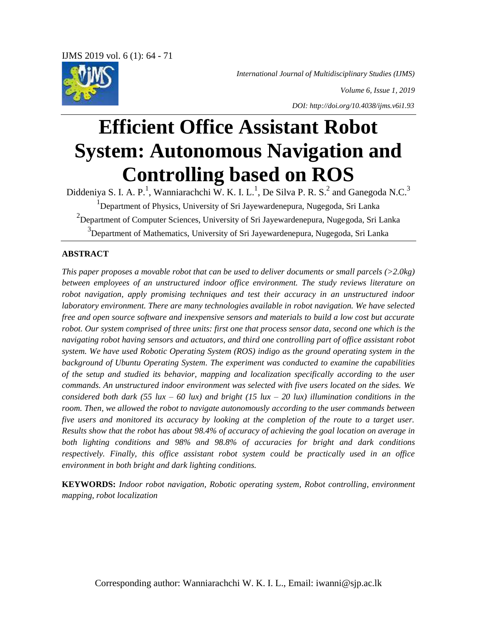*International Journal of Multidisciplinary Studies (IJMS)*



*Volume 6, Issue 1, 2019 DOI: http://doi.org/10.4038/ijms.v6i1.93*

# **Efficient Office Assistant Robot System: Autonomous Navigation and Controlling based on ROS**

Diddeniya S. I. A. P.<sup>1</sup>, Wanniarachchi W. K. I. L.<sup>1</sup>, De Silva P. R. S.<sup>2</sup> and Ganegoda N.C.<sup>3</sup> <sup>1</sup>Department of Physics, University of Sri Jayewardenepura, Nugegoda, Sri Lanka  $^{2}$ Department of Computer Sciences, University of Sri Jayewardenepura, Nugegoda, Sri Lanka <sup>3</sup>Department of Mathematics, University of Sri Jayewardenepura, Nugegoda, Sri Lanka

# **ABSTRACT**

*This paper proposes a movable robot that can be used to deliver documents or small parcels (>2.0kg) between employees of an unstructured indoor office environment. The study reviews literature on robot navigation, apply promising techniques and test their accuracy in an unstructured indoor laboratory environment. There are many technologies available in robot navigation. We have selected free and open source software and inexpensive sensors and materials to build a low cost but accurate robot. Our system comprised of three units: first one that process sensor data, second one which is the navigating robot having sensors and actuators, and third one controlling part of office assistant robot system. We have used Robotic Operating System (ROS) indigo as the ground operating system in the background of Ubuntu Operating System. The experiment was conducted to examine the capabilities of the setup and studied its behavior, mapping and localization specifically according to the user commands. An unstructured indoor environment was selected with five users located on the sides. We considered both dark*  $(55 \text{lux} - 60 \text{lux})$  *and bright*  $(15 \text{lux} - 20 \text{lux})$  *illumination conditions in the room. Then, we allowed the robot to navigate autonomously according to the user commands between five users and monitored its accuracy by looking at the completion of the route to a target user. Results show that the robot has about 98.4% of accuracy of achieving the goal location on average in both lighting conditions and 98% and 98.8% of accuracies for bright and dark conditions respectively. Finally, this office assistant robot system could be practically used in an office environment in both bright and dark lighting conditions.*

**KEYWORDS:** *Indoor robot navigation, Robotic operating system, Robot controlling, environment mapping, robot localization*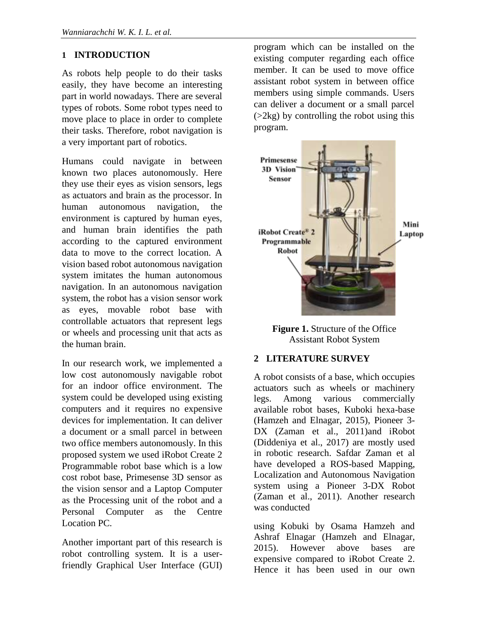# **1 INTRODUCTION**

As robots help people to do their tasks easily, they have become an interesting part in world nowadays. There are several types of robots. Some robot types need to move place to place in order to complete their tasks. Therefore, robot navigation is a very important part of robotics.

Humans could navigate in between known two places autonomously. Here they use their eyes as vision sensors, legs as actuators and brain as the processor. In human autonomous navigation, the environment is captured by human eyes, and human brain identifies the path according to the captured environment data to move to the correct location. A vision based robot autonomous navigation system imitates the human autonomous navigation. In an autonomous navigation system, the robot has a vision sensor work as eyes, movable robot base with controllable actuators that represent legs or wheels and processing unit that acts as the human brain.

In our research work, we implemented a low cost autonomously navigable robot for an indoor office environment. The system could be developed using existing computers and it requires no expensive devices for implementation. It can deliver a document or a small parcel in between two office members autonomously. In this proposed system we used iRobot Create 2 Programmable robot base which is a low cost robot base, Primesense 3D sensor as the vision sensor and a Laptop Computer as the Processing unit of the robot and a Personal Computer as the Centre Location PC.

Another important part of this research is robot controlling system. It is a userfriendly Graphical User Interface (GUI)

program which can be installed on the existing computer regarding each office member. It can be used to move office assistant robot system in between office members using simple commands. Users can deliver a document or a small parcel  $(2kg)$  by controlling the robot using this program.



**Figure 1.** Structure of the Office Assistant Robot System

#### **2 LITERATURE SURVEY**

A robot consists of a base, which occupies actuators such as wheels or machinery legs. Among various commercially available robot bases, Kuboki hexa-base (Hamzeh and Elnagar, 2015), Pioneer 3- DX (Zaman et al., 2011)and iRobot (Diddeniya et al., 2017) are mostly used in robotic research. Safdar Zaman et al have developed a ROS-based Mapping, Localization and Autonomous Navigation system using a Pioneer 3-DX Robot (Zaman et al., 2011). Another research was conducted

using Kobuki by Osama Hamzeh and Ashraf Elnagar (Hamzeh and Elnagar, 2015). However above bases are expensive compared to iRobot Create 2. Hence it has been used in our own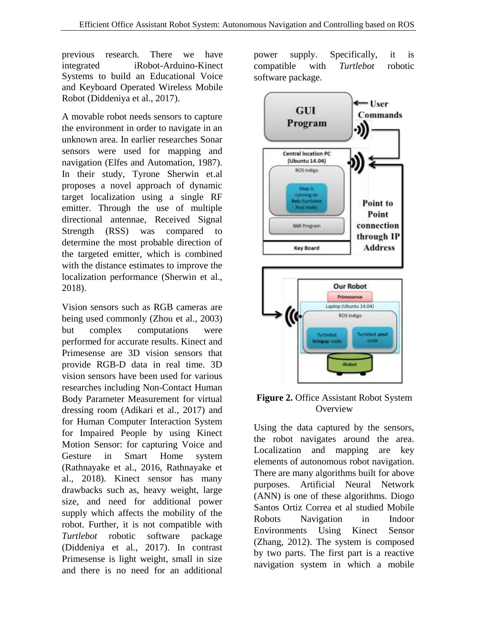previous research. There we have integrated iRobot-Arduino-Kinect Systems to build an Educational Voice and Keyboard Operated Wireless Mobile Robot (Diddeniya et al., 2017).

A movable robot needs sensors to capture the environment in order to navigate in an unknown area. In earlier researches Sonar sensors were used for mapping and navigation (Elfes and Automation, 1987). In their study, Tyrone Sherwin et.al proposes a novel approach of dynamic target localization using a single RF emitter. Through the use of multiple directional antennae, Received Signal Strength (RSS) was compared to determine the most probable direction of the targeted emitter, which is combined with the distance estimates to improve the localization performance (Sherwin et al., 2018).

Vision sensors such as RGB cameras are being used commonly (Zhou et al., 2003) but complex computations were performed for accurate results. Kinect and Primesense are 3D vision sensors that provide RGB-D data in real time. 3D vision sensors have been used for various researches including Non-Contact Human Body Parameter Measurement for virtual dressing room (Adikari et al., 2017) and for Human Computer Interaction System for Impaired People by using Kinect Motion Sensor: for capturing Voice and Gesture in Smart Home system (Rathnayake et al., 2016, Rathnayake et al., 2018). Kinect sensor has many drawbacks such as, heavy weight, large size, and need for additional power supply which affects the mobility of the robot. Further, it is not compatible with *Turtlebot* robotic software package (Diddeniya et al., 2017). In contrast Primesense is light weight, small in size and there is no need for an additional

power supply. Specifically, it is compatible with *Turtlebot* robotic software package.



#### **Figure 2.** Office Assistant Robot System **Overview**

Using the data captured by the sensors, the robot navigates around the area. Localization and mapping are key elements of autonomous robot navigation. There are many algorithms built for above purposes. Artificial Neural Network (ANN) is one of these algorithms. Diogo Santos Ortiz Correa et al studied Mobile Robots Navigation in Indoor Environments Using Kinect Sensor (Zhang, 2012). The system is composed by two parts. The first part is a reactive navigation system in which a mobile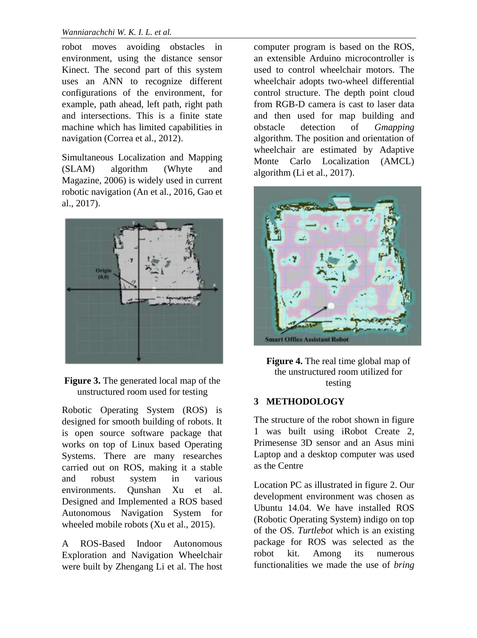robot moves avoiding obstacles in environment, using the distance sensor Kinect. The second part of this system uses an ANN to recognize different configurations of the environment, for example, path ahead, left path, right path and intersections. This is a finite state machine which has limited capabilities in navigation (Correa et al., 2012).

Simultaneous Localization and Mapping (SLAM) algorithm (Whyte and Magazine, 2006) is widely used in current robotic navigation (An et al., 2016, Gao et al., 2017).



**Figure 3.** The generated local map of the unstructured room used for testing

Robotic Operating System (ROS) is designed for smooth building of robots. It is open source software package that works on top of Linux based Operating Systems. There are many researches carried out on ROS, making it a stable and robust system in various environments. Qunshan Xu et al. Designed and Implemented a ROS based Autonomous Navigation System for wheeled mobile robots (Xu et al., 2015).

A ROS-Based Indoor Autonomous Exploration and Navigation Wheelchair were built by Zhengang Li et al. The host computer program is based on the ROS, an extensible Arduino microcontroller is used to control wheelchair motors. The wheelchair adopts two-wheel differential control structure. The depth point cloud from RGB-D camera is cast to laser data and then used for map building and obstacle detection of *Gmapping* algorithm. The position and orientation of wheelchair are estimated by Adaptive Monte Carlo Localization (AMCL) algorithm (Li et al., 2017).



**Figure 4.** The real time global map of the unstructured room utilized for testing

# **3 METHODOLOGY**

The structure of the robot shown in figure 1 was built using iRobot Create 2, Primesense 3D sensor and an Asus mini Laptop and a desktop computer was used as the Centre

Location PC as illustrated in figure 2. Our development environment was chosen as Ubuntu 14.04. We have installed ROS (Robotic Operating System) indigo on top of the OS. *Turtlebot* which is an existing package for ROS was selected as the robot kit. Among its numerous functionalities we made the use of *bring*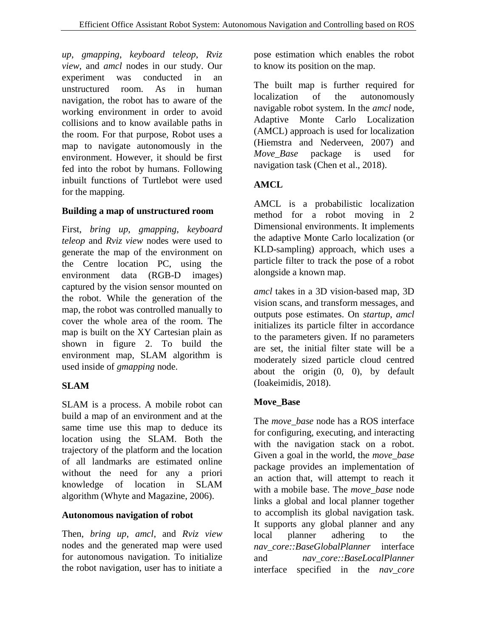*up*, *gmapping*, *keyboard teleop*, *Rviz view*, and *amcl* nodes in our study. Our experiment was conducted in an unstructured room. As in human navigation, the robot has to aware of the working environment in order to avoid collisions and to know available paths in the room. For that purpose, Robot uses a map to navigate autonomously in the environment. However, it should be first fed into the robot by humans. Following inbuilt functions of Turtlebot were used for the mapping.

# **Building a map of unstructured room**

First, *bring up*, *gmapping*, *keyboard teleop* and *Rviz view* nodes were used to generate the map of the environment on the Centre location PC, using the environment data (RGB-D images) captured by the vision sensor mounted on the robot. While the generation of the map, the robot was controlled manually to cover the whole area of the room. The map is built on the XY Cartesian plain as shown in figure 2. To build the environment map, SLAM algorithm is used inside of *gmapping* node.

# **SLAM**

SLAM is a process. A mobile robot can build a map of an environment and at the same time use this map to deduce its location using the SLAM. Both the trajectory of the platform and the location of all landmarks are estimated online without the need for any a priori knowledge of location in SLAM algorithm (Whyte and Magazine, 2006).

#### **Autonomous navigation of robot**

Then, *bring up*, *amcl*, and *Rviz view* nodes and the generated map were used for autonomous navigation. To initialize the robot navigation, user has to initiate a pose estimation which enables the robot to know its position on the map.

The built map is further required for localization of the autonomously navigable robot system. In the *amcl* node, Adaptive Monte Carlo Localization (AMCL) approach is used for localization (Hiemstra and Nederveen, 2007) and *Move\_Base* package is used for navigation task (Chen et al., 2018).

# **AMCL**

AMCL is a probabilistic localization method for a robot moving in 2 Dimensional environments. It implements the adaptive Monte Carlo localization (or KLD-sampling) approach, which uses a particle filter to track the pose of a robot alongside a known map.

*amcl* takes in a 3D vision-based map, 3D vision scans, and transform messages, and outputs pose estimates. On *startup*, *amcl* initializes its particle filter in accordance to the parameters given. If no parameters are set, the initial filter state will be a moderately sized particle cloud centred about the origin (0, 0), by default (Ioakeimidis, 2018).

# **Move\_Base**

The *move\_base* node has a ROS interface for configuring, executing, and interacting with the navigation stack on a robot. Given a goal in the world, the *move\_base* package provides an implementation of an action that, will attempt to reach it with a mobile base. The *move\_base* node links a global and local planner together to accomplish its global navigation task. It supports any global planner and any local planner adhering to the *nav\_core::BaseGlobalPlanner* interface and *nav\_core::BaseLocalPlanner* interface specified in the *nav\_core*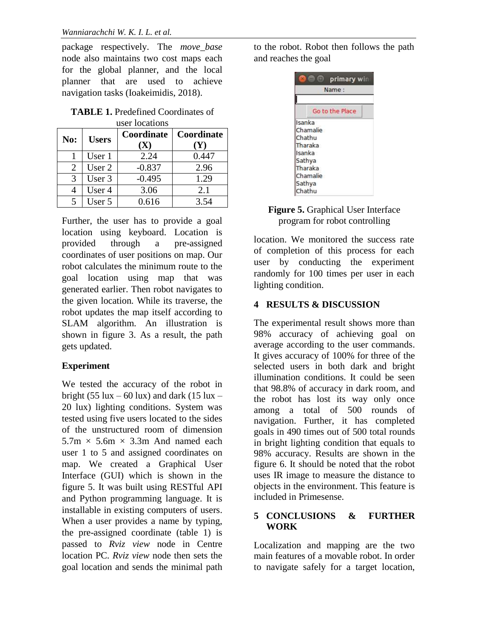package respectively. The *move\_base* node also maintains two cost maps each for the global planner, and the local planner that are used to achieve navigation tasks (Ioakeimidis, 2018).

#### **TABLE 1.** Predefined Coordinates of user locations

| No:           | <b>Users</b> | <b>Coordinate</b><br>$({\bf X})$ | Coordinate<br><b>(Y)</b> |
|---------------|--------------|----------------------------------|--------------------------|
|               | User 1       | 2.24                             | 0.447                    |
| 2             | User 2       | $-0.837$                         | 2.96                     |
| $\mathcal{R}$ | User 3       | $-0.495$                         | 1.29                     |
|               | User 4       | 3.06                             | 2.1                      |
|               | User 5       | 0.616                            | 3.54                     |

Further, the user has to provide a goal location using keyboard. Location is provided through a pre-assigned coordinates of user positions on map. Our robot calculates the minimum route to the goal location using map that was generated earlier. Then robot navigates to the given location. While its traverse, the robot updates the map itself according to SLAM algorithm. An illustration is shown in figure 3. As a result, the path gets updated.

# **Experiment**

We tested the accuracy of the robot in bright (55 lux – 60 lux) and dark (15 lux – 20 lux) lighting conditions. System was tested using five users located to the sides of the unstructured room of dimension  $5.7m \times 5.6m \times 3.3m$  And named each user 1 to 5 and assigned coordinates on map. We created a Graphical User Interface (GUI) which is shown in the figure 5. It was built using RESTful API and Python programming language. It is installable in existing computers of users. When a user provides a name by typing, the pre-assigned coordinate (table 1) is passed to *Rviz view* node in Centre location PC. *Rviz view* node then sets the goal location and sends the minimal path

to the robot. Robot then follows the path and reaches the goal



## **Figure 5.** Graphical User Interface program for robot controlling

location. We monitored the success rate of completion of this process for each user by conducting the experiment randomly for 100 times per user in each lighting condition.

# **4 RESULTS & DISCUSSION**

The experimental result shows more than 98% accuracy of achieving goal on average according to the user commands. It gives accuracy of 100% for three of the selected users in both dark and bright illumination conditions. It could be seen that 98.8% of accuracy in dark room, and the robot has lost its way only once among a total of 500 rounds of navigation. Further, it has completed goals in 490 times out of 500 total rounds in bright lighting condition that equals to 98% accuracy. Results are shown in the figure 6. It should be noted that the robot uses IR image to measure the distance to objects in the environment. This feature is included in Primesense.

#### **5 CONCLUSIONS & FURTHER WORK**

Localization and mapping are the two main features of a movable robot. In order to navigate safely for a target location,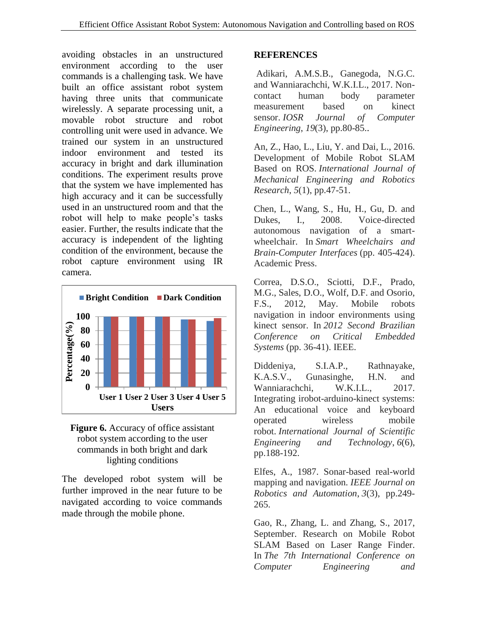avoiding obstacles in an unstructured environment according to the user commands is a challenging task. We have built an office assistant robot system having three units that communicate wirelessly. A separate processing unit, a movable robot structure and robot controlling unit were used in advance. We trained our system in an unstructured indoor environment and tested its accuracy in bright and dark illumination conditions. The experiment results prove that the system we have implemented has high accuracy and it can be successfully used in an unstructured room and that the robot will help to make people's tasks easier. Further, the results indicate that the accuracy is independent of the lighting condition of the environment, because the robot capture environment using IR camera.





The developed robot system will be further improved in the near future to be navigated according to voice commands made through the mobile phone.

#### **REFERENCES**

Adikari, A.M.S.B., Ganegoda, N.G.C. and Wanniarachchi, W.K.I.L., 2017. Noncontact human body parameter measurement based on kinect sensor. *IOSR Journal of Computer Engineering*, *19*(3), pp.80-85..

An, Z., Hao, L., Liu, Y. and Dai, L., 2016. Development of Mobile Robot SLAM Based on ROS. *International Journal of Mechanical Engineering and Robotics Research*, *5*(1), pp.47-51.

Chen, L., Wang, S., Hu, H., Gu, D. and Dukes, I., 2008. Voice-directed autonomous navigation of a smartwheelchair. In *Smart Wheelchairs and Brain-Computer Interfaces* (pp. 405-424). Academic Press.

Correa, D.S.O., Sciotti, D.F., Prado, M.G., Sales, D.O., Wolf, D.F. and Osorio, F.S., 2012, May. Mobile robots navigation in indoor environments using kinect sensor. In *2012 Second Brazilian Conference on Critical Embedded Systems* (pp. 36-41). IEEE.

Diddeniya, S.I.A.P., Rathnayake, K.A.S.V., Gunasinghe, H.N. and Wanniarachchi, W.K.I.L., 2017. Integrating irobot-arduino-kinect systems: An educational voice and keyboard operated wireless mobile robot. *International Journal of Scientific Engineering and Technology*, *6*(6), pp.188-192.

Elfes, A., 1987. Sonar-based real-world mapping and navigation. *IEEE Journal on Robotics and Automation*, *3*(3), pp.249- 265.

Gao, R., Zhang, L. and Zhang, S., 2017, September. Research on Mobile Robot SLAM Based on Laser Range Finder. In *The 7th International Conference on Computer Engineering and*